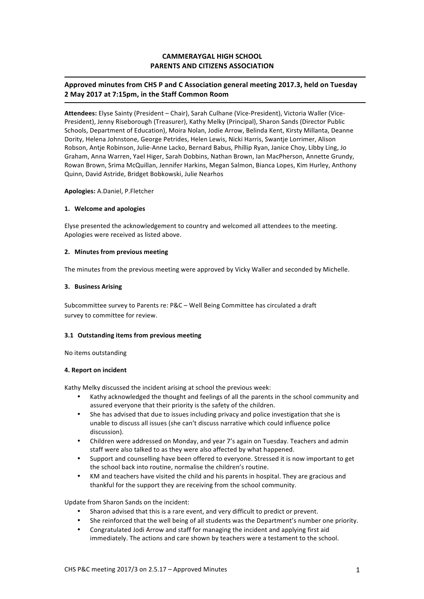# **CAMMERAYGAL HIGH SCHOOL PARENTS AND CITIZENS ASSOCIATION**

# Approved minutes from CHS P and C Association general meeting 2017.3, held on Tuesday **2 May 2017 at 7:15pm, in the Staff Common Room**

Attendees: Elyse Sainty (President - Chair), Sarah Culhane (Vice-President), Victoria Waller (Vice-President), Jenny Riseborough (Treasurer), Kathy Melky (Principal), Sharon Sands (Director Public Schools, Department of Education), Moira Nolan, Jodie Arrow, Belinda Kent, Kirsty Millanta, Deanne Dority, Helena Johnstone, George Petrides, Helen Lewis, Nicki Harris, Swantje Lorrimer, Alison Robson, Antie Robinson, Julie-Anne Lacko, Bernard Babus, Phillip Ryan, Janice Choy, Libby Ling, Jo Graham, Anna Warren, Yael Higer, Sarah Dobbins, Nathan Brown, Ian MacPherson, Annette Grundy, Rowan Brown, Srima McQuillan, Jennifer Harkins, Megan Salmon, Bianca Lopes, Kim Hurley, Anthony Quinn, David Astride, Bridget Bobkowski, Julie Nearhos

### **Apologies:** A.Daniel, P.Fletcher

### **1. Welcome and apologies**

Elyse presented the acknowledgement to country and welcomed all attendees to the meeting. Apologies were received as listed above.

### **2.** Minutes from previous meeting

The minutes from the previous meeting were approved by Vicky Waller and seconded by Michelle.

### **3. Business Arising**

Subcommittee survey to Parents re: P&C - Well Being Committee has circulated a draft survey to committee for review.

# **3.1 Outstanding items from previous meeting**

No items outstanding

### **4. Report on incident**

Kathy Melky discussed the incident arising at school the previous week:

- Kathy acknowledged the thought and feelings of all the parents in the school community and assured everyone that their priority is the safety of the children.
- She has advised that due to issues including privacy and police investigation that she is unable to discuss all issues (she can't discuss narrative which could influence police discussion).
- Children were addressed on Monday, and year 7's again on Tuesday. Teachers and admin staff were also talked to as they were also affected by what happened.
- Support and counselling have been offered to everyone. Stressed it is now important to get the school back into routine, normalise the children's routine.
- KM and teachers have visited the child and his parents in hospital. They are gracious and thankful for the support they are receiving from the school community.

Update from Sharon Sands on the incident:

- Sharon advised that this is a rare event, and very difficult to predict or prevent.
- She reinforced that the well being of all students was the Department's number one priority.
- Congratulated Jodi Arrow and staff for managing the incident and applying first aid immediately. The actions and care shown by teachers were a testament to the school.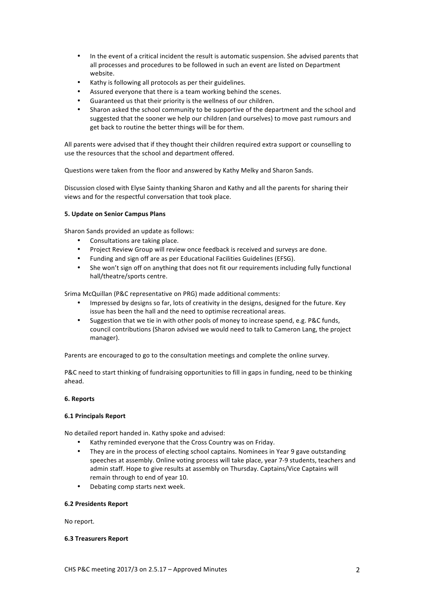- In the event of a critical incident the result is automatic suspension. She advised parents that all processes and procedures to be followed in such an event are listed on Department website.
- Kathy is following all protocols as per their guidelines.
- Assured everyone that there is a team working behind the scenes.
- Guaranteed us that their priority is the wellness of our children.
- Sharon asked the school community to be supportive of the department and the school and suggested that the sooner we help our children (and ourselves) to move past rumours and get back to routine the better things will be for them.

All parents were advised that if they thought their children required extra support or counselling to use the resources that the school and department offered.

Questions were taken from the floor and answered by Kathy Melky and Sharon Sands.

Discussion closed with Elyse Sainty thanking Sharon and Kathy and all the parents for sharing their views and for the respectful conversation that took place.

# **5. Update on Senior Campus Plans**

Sharon Sands provided an update as follows:

- Consultations are taking place.
- Project Review Group will review once feedback is received and surveys are done.
- Funding and sign off are as per Educational Facilities Guidelines (EFSG).
- She won't sign off on anything that does not fit our requirements including fully functional hall/theatre/sports centre.

Srima McQuillan (P&C representative on PRG) made additional comments:

- Impressed by designs so far, lots of creativity in the designs, designed for the future. Key issue has been the hall and the need to optimise recreational areas.
- Suggestion that we tie in with other pools of money to increase spend, e.g. P&C funds, council contributions (Sharon advised we would need to talk to Cameron Lang, the project manager).

Parents are encouraged to go to the consultation meetings and complete the online survey.

P&C need to start thinking of fundraising opportunities to fill in gaps in funding, need to be thinking ahead.

# **6. Reports**

# **6.1 Principals Report**

No detailed report handed in. Kathy spoke and advised:

- Kathy reminded everyone that the Cross Country was on Friday.
- They are in the process of electing school captains. Nominees in Year 9 gave outstanding speeches at assembly. Online voting process will take place, year 7-9 students, teachers and admin staff. Hope to give results at assembly on Thursday. Captains/Vice Captains will remain through to end of year 10.
- Debating comp starts next week.

#### **6.2 Presidents Report**

No report.

# **6.3 Treasurers Report**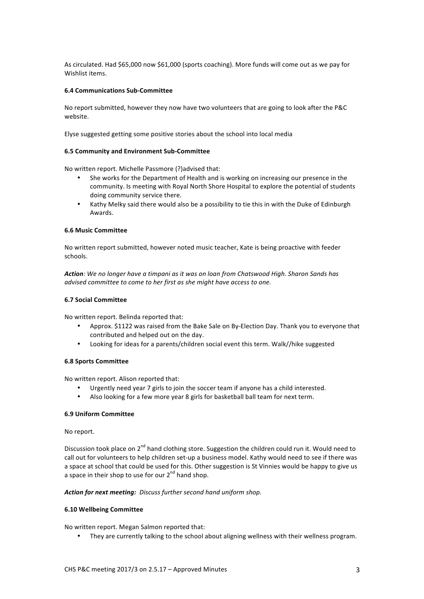As circulated. Had \$65,000 now \$61,000 (sports coaching). More funds will come out as we pay for Wishlist items.

## **6.4 Communications Sub-Committee**

No report submitted, however they now have two volunteers that are going to look after the P&C website.

Elyse suggested getting some positive stories about the school into local media

#### **6.5 Community and Environment Sub-Committee**

No written report. Michelle Passmore (?)advised that:

- She works for the Department of Health and is working on increasing our presence in the community. Is meeting with Royal North Shore Hospital to explore the potential of students doing community service there.
- Kathy Melky said there would also be a possibility to tie this in with the Duke of Edinburgh Awards.

## **6.6 Music Committee**

No written report submitted, however noted music teacher. Kate is being proactive with feeder schools.

Action: We no longer have a timpani as it was on loan from Chatswood High. Sharon Sands has *advised committee to come to her first as she might have access to one.* 

#### **6.7 Social Committee**

No written report. Belinda reported that:

- Approx. \$1122 was raised from the Bake Sale on By-Election Day. Thank you to everyone that contributed and helped out on the day.
- Looking for ideas for a parents/children social event this term. Walk//hike suggested

#### **6.8 Sports Committee**

No written report. Alison reported that:

- Urgently need year 7 girls to join the soccer team if anyone has a child interested.
- Also looking for a few more year 8 girls for basketball ball team for next term.

#### **6.9 Uniform Committee**

#### No report.

Discussion took place on  $2^{nd}$  hand clothing store. Suggestion the children could run it. Would need to call out for volunteers to help children set-up a business model. Kathy would need to see if there was a space at school that could be used for this. Other suggestion is St Vinnies would be happy to give us a space in their shop to use for our  $2<sup>nd</sup>$  hand shop.

#### Action for next meeting: Discuss further second hand uniform shop.

# **6.10 Wellbeing Committee**

No written report. Megan Salmon reported that:

They are currently talking to the school about aligning wellness with their wellness program.